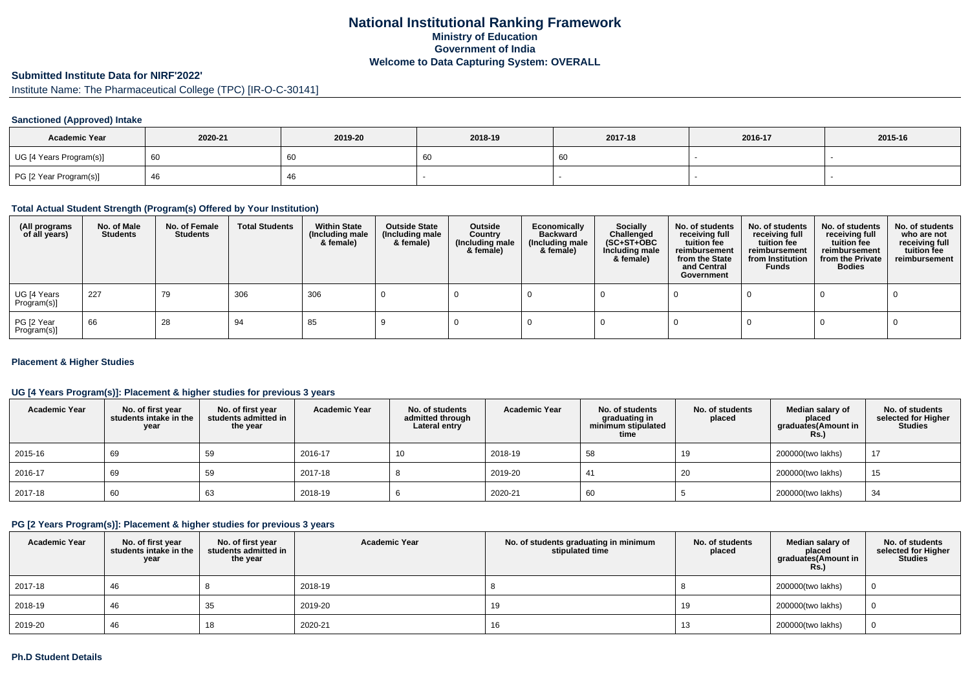### **National Institutional Ranking FrameworkMinistry of Education Government of IndiaWelcome to Data Capturing System: OVERALL**

#### **Submitted Institute Data for NIRF'2022'**

Institute Name: The Pharmaceutical College (TPC) [IR-O-C-30141]

### **Sanctioned (Approved) Intake**

| <b>Academic Year</b>    | 2020-21 | 2019-20 | 2018-19 | 2017-18 | 2016-17 | 2015-16 |
|-------------------------|---------|---------|---------|---------|---------|---------|
| UG [4 Years Program(s)] |         | 60      | 60      |         |         |         |
| PG [2 Year Program(s)]  |         | 46      |         |         |         |         |

#### **Total Actual Student Strength (Program(s) Offered by Your Institution)**

| (All programs<br>of all years) | No. of Male<br><b>Students</b> | No. of Female<br>Students | <b>Total Students</b> | <b>Within State</b><br>(Including male<br>& female) | <b>Outside State</b><br>(Including male<br>& female) | Outside<br>Country<br>(Including male<br>& female) | Economically<br><b>Backward</b><br>(Including male<br>& female) | <b>Socially</b><br>Challenged<br>$(SC+ST+OBC)$<br>Including male<br>& female) | No. of students<br>receiving full<br>tuition fee<br>reimbursement<br>from the State<br>and Central<br>Government | No. of students<br>receiving full<br>tuition fee<br>reimbursement<br>from Institution<br><b>Funds</b> | No. of students<br>receiving full<br>tuition fee<br>reimbursement<br>from the Private<br><b>Bodies</b> | No. of students<br>who are not<br>receiving full<br>tuition fee<br>reimbursement |
|--------------------------------|--------------------------------|---------------------------|-----------------------|-----------------------------------------------------|------------------------------------------------------|----------------------------------------------------|-----------------------------------------------------------------|-------------------------------------------------------------------------------|------------------------------------------------------------------------------------------------------------------|-------------------------------------------------------------------------------------------------------|--------------------------------------------------------------------------------------------------------|----------------------------------------------------------------------------------|
| UG [4 Years<br>Program(s)]     | 227                            | 79                        | 306                   | 306                                                 |                                                      |                                                    |                                                                 |                                                                               |                                                                                                                  |                                                                                                       |                                                                                                        |                                                                                  |
| PG [2 Year<br>Program(s)]      | 66                             | 28                        | 94                    | 85                                                  |                                                      |                                                    |                                                                 |                                                                               |                                                                                                                  |                                                                                                       |                                                                                                        |                                                                                  |

#### **Placement & Higher Studies**

#### **UG [4 Years Program(s)]: Placement & higher studies for previous 3 years**

| <b>Academic Year</b> | No. of first year<br>students intake in the<br>year | No. of first vear<br>students admitted in<br>the year | <b>Academic Year</b> | No. of students<br>admitted through<br>Lateral entry | <b>Academic Year</b> | No. of students<br>graduating in<br>minimum stipulated<br>time | No. of students<br>placed | Median salary of<br>placed<br>graduates(Amount in<br><b>Rs.)</b> | No. of students<br>selected for Higher<br><b>Studies</b> |
|----------------------|-----------------------------------------------------|-------------------------------------------------------|----------------------|------------------------------------------------------|----------------------|----------------------------------------------------------------|---------------------------|------------------------------------------------------------------|----------------------------------------------------------|
| 2015-16              | 69                                                  | 59                                                    | 2016-17              | 10                                                   | 2018-19              | 58                                                             | 19                        | 200000(two lakhs)                                                | 17                                                       |
| 2016-17              | 69                                                  | 59                                                    | 2017-18              |                                                      | 2019-20              | 41                                                             | 20                        | 200000(two lakhs)                                                | 15                                                       |
| 2017-18              | 60                                                  | 63                                                    | 2018-19              |                                                      | 2020-21              | 60                                                             |                           | 200000(two lakhs)                                                | 34                                                       |

#### **PG [2 Years Program(s)]: Placement & higher studies for previous 3 years**

| <b>Academic Year</b> | No. of first year<br>students intake in the<br>year | No. of first year<br>students admitted in<br>the year | <b>Academic Year</b> | No. of students graduating in minimum<br>stipulated time | No. of students<br>placed | Median salarv of<br>placed<br>graduates(Amount in<br><b>Rs.)</b> | No. of students<br>selected for Higher<br><b>Studies</b> |
|----------------------|-----------------------------------------------------|-------------------------------------------------------|----------------------|----------------------------------------------------------|---------------------------|------------------------------------------------------------------|----------------------------------------------------------|
| 2017-18              | 46                                                  |                                                       | 2018-19              |                                                          |                           | 200000(two lakhs)                                                |                                                          |
| 2018-19              | 46                                                  | 35                                                    | 2019-20              | 19                                                       | 19                        | 200000(two lakhs)                                                |                                                          |
| 2019-20              | 46                                                  | 18                                                    | 2020-21              | 16                                                       | 10                        | 200000(two lakhs)                                                |                                                          |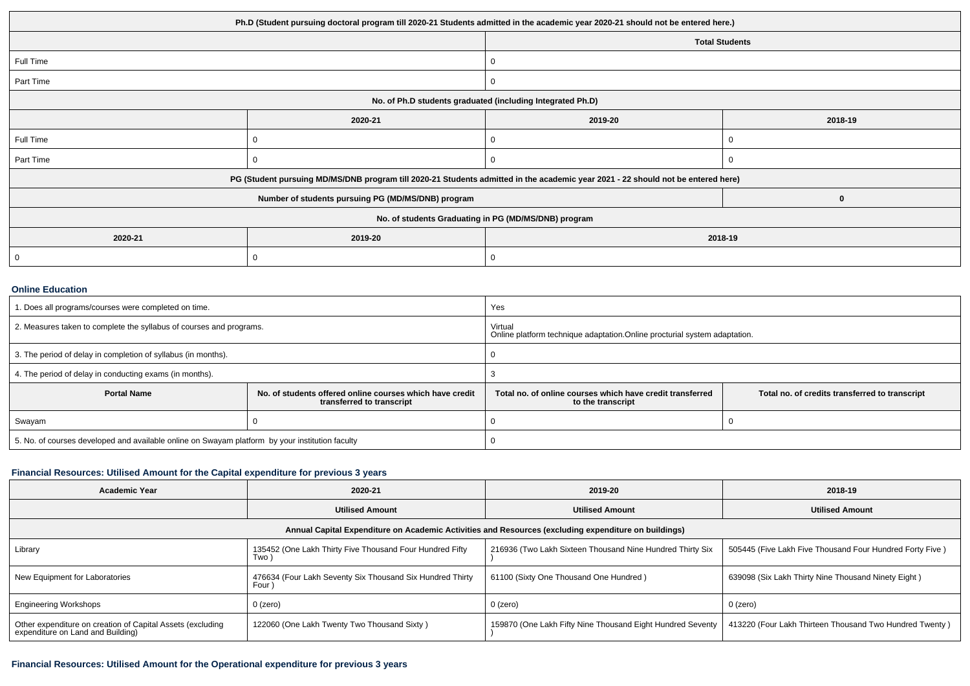| Ph.D (Student pursuing doctoral program till 2020-21 Students admitted in the academic year 2020-21 should not be entered here.) |                                                                                                                                  |              |                       |  |  |  |
|----------------------------------------------------------------------------------------------------------------------------------|----------------------------------------------------------------------------------------------------------------------------------|--------------|-----------------------|--|--|--|
|                                                                                                                                  |                                                                                                                                  |              | <b>Total Students</b> |  |  |  |
| Full Time                                                                                                                        |                                                                                                                                  | 0            |                       |  |  |  |
| Part Time                                                                                                                        |                                                                                                                                  | 0            |                       |  |  |  |
| No. of Ph.D students graduated (including Integrated Ph.D)                                                                       |                                                                                                                                  |              |                       |  |  |  |
|                                                                                                                                  | 2020-21                                                                                                                          | 2019-20      | 2018-19               |  |  |  |
| Full Time                                                                                                                        |                                                                                                                                  | 0            |                       |  |  |  |
| Part Time                                                                                                                        |                                                                                                                                  | 0            |                       |  |  |  |
|                                                                                                                                  | PG (Student pursuing MD/MS/DNB program till 2020-21 Students admitted in the academic year 2021 - 22 should not be entered here) |              |                       |  |  |  |
|                                                                                                                                  | Number of students pursuing PG (MD/MS/DNB) program                                                                               |              | 0                     |  |  |  |
| No. of students Graduating in PG (MD/MS/DNB) program                                                                             |                                                                                                                                  |              |                       |  |  |  |
| 2020-21                                                                                                                          | 2019-20<br>2018-19                                                                                                               |              |                       |  |  |  |
| 0                                                                                                                                | .C                                                                                                                               | $\mathbf{0}$ |                       |  |  |  |

#### **Online Education**

| 1. Does all programs/courses were completed on time.<br>Yes                                     |                                                                                       |                                                                                       |                                                |  |
|-------------------------------------------------------------------------------------------------|---------------------------------------------------------------------------------------|---------------------------------------------------------------------------------------|------------------------------------------------|--|
| 2. Measures taken to complete the syllabus of courses and programs.                             |                                                                                       | Virtual<br>Online platform technique adaptation. Online procturial system adaptation. |                                                |  |
| 3. The period of delay in completion of syllabus (in months).                                   |                                                                                       |                                                                                       |                                                |  |
| 4. The period of delay in conducting exams (in months).                                         |                                                                                       |                                                                                       |                                                |  |
| <b>Portal Name</b>                                                                              | No. of students offered online courses which have credit<br>transferred to transcript | Total no, of online courses which have credit transferred<br>to the transcript        | Total no. of credits transferred to transcript |  |
| Swayam                                                                                          |                                                                                       |                                                                                       |                                                |  |
| 5. No. of courses developed and available online on Swayam platform by your institution faculty |                                                                                       |                                                                                       |                                                |  |

# **Financial Resources: Utilised Amount for the Capital expenditure for previous 3 years**

| <b>Academic Year</b>                                                                                 | 2020-21                                                             | 2019-20                                                    | 2018-19                                                  |  |  |  |  |  |
|------------------------------------------------------------------------------------------------------|---------------------------------------------------------------------|------------------------------------------------------------|----------------------------------------------------------|--|--|--|--|--|
|                                                                                                      | <b>Utilised Amount</b>                                              | <b>Utilised Amount</b>                                     | <b>Utilised Amount</b>                                   |  |  |  |  |  |
| Annual Capital Expenditure on Academic Activities and Resources (excluding expenditure on buildings) |                                                                     |                                                            |                                                          |  |  |  |  |  |
| Library                                                                                              | 135452 (One Lakh Thirty Five Thousand Four Hundred Fifty<br>Two     | 216936 (Two Lakh Sixteen Thousand Nine Hundred Thirty Six  | 505445 (Five Lakh Five Thousand Four Hundred Forty Five) |  |  |  |  |  |
| New Equipment for Laboratories                                                                       | 476634 (Four Lakh Seventy Six Thousand Six Hundred Thirty<br>Four ) | 61100 (Sixty One Thousand One Hundred)                     | 639098 (Six Lakh Thirty Nine Thousand Ninety Eight)      |  |  |  |  |  |
| <b>Engineering Workshops</b>                                                                         | $0$ (zero)                                                          | 0 (zero)                                                   | 0 (zero)                                                 |  |  |  |  |  |
| Other expenditure on creation of Capital Assets (excluding<br>expenditure on Land and Building)      | 122060 (One Lakh Twenty Two Thousand Sixty)                         | 159870 (One Lakh Fifty Nine Thousand Eight Hundred Seventy | 413220 (Four Lakh Thirteen Thousand Two Hundred Twenty)  |  |  |  |  |  |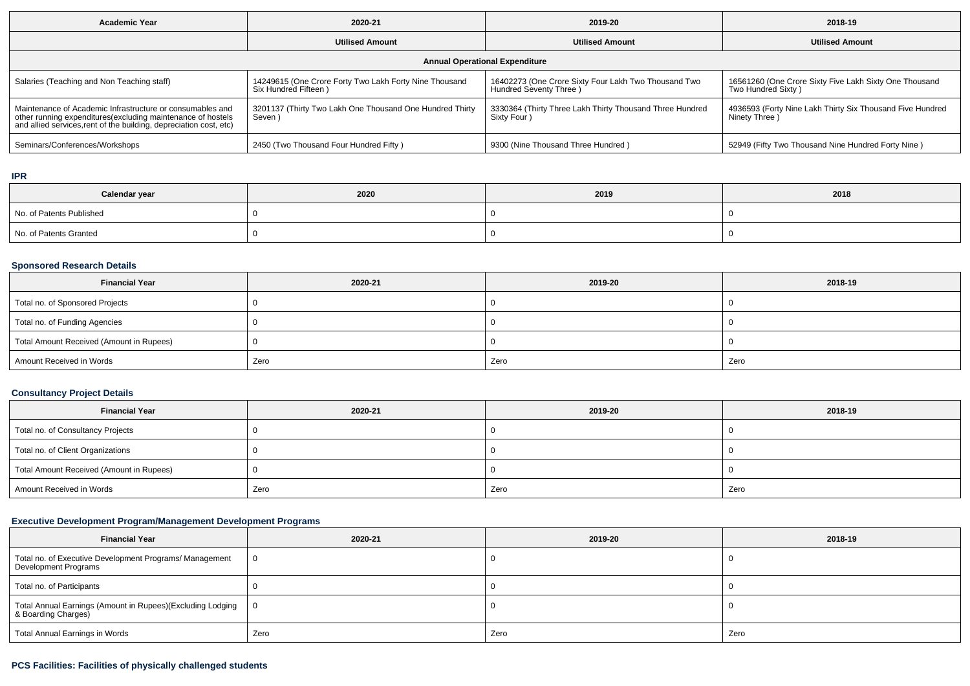| <b>Academic Year</b>                                                                                                                                                                            | 2020-21                                                                         | 2019-20                                                                         | 2018-19                                                                      |  |  |  |  |  |
|-------------------------------------------------------------------------------------------------------------------------------------------------------------------------------------------------|---------------------------------------------------------------------------------|---------------------------------------------------------------------------------|------------------------------------------------------------------------------|--|--|--|--|--|
| <b>Utilised Amount</b>                                                                                                                                                                          |                                                                                 | <b>Utilised Amount</b>                                                          | <b>Utilised Amount</b>                                                       |  |  |  |  |  |
| <b>Annual Operational Expenditure</b>                                                                                                                                                           |                                                                                 |                                                                                 |                                                                              |  |  |  |  |  |
| Salaries (Teaching and Non Teaching staff)                                                                                                                                                      | 14249615 (One Crore Forty Two Lakh Forty Nine Thousand<br>Six Hundred Fifteen ) | 16402273 (One Crore Sixty Four Lakh Two Thousand Two<br>Hundred Seventy Three ) | 16561260 (One Crore Sixty Five Lakh Sixty One Thousand<br>Two Hundred Sixty) |  |  |  |  |  |
| Maintenance of Academic Infrastructure or consumables and<br>other running expenditures (excluding maintenance of hostels<br>and allied services, rent of the building, depreciation cost, etc) | 3201137 (Thirty Two Lakh One Thousand One Hundred Thirty<br>Seven)              | 3330364 (Thirty Three Lakh Thirty Thousand Three Hundred<br>Sixty Four )        | 4936593 (Forty Nine Lakh Thirty Six Thousand Five Hundred<br>Ninety Three )  |  |  |  |  |  |
| Seminars/Conferences/Workshops                                                                                                                                                                  | 2450 (Two Thousand Four Hundred Fifty)                                          | 9300 (Nine Thousand Three Hundred)                                              | 52949 (Fifty Two Thousand Nine Hundred Forty Nine)                           |  |  |  |  |  |

#### **IPR**

| Calendar year            | 2020 | 2019 | 2018 |
|--------------------------|------|------|------|
| No. of Patents Published |      |      |      |
| No. of Patents Granted   |      |      |      |

### **Sponsored Research Details**

| <b>Financial Year</b>                    | 2020-21 | 2019-20 | 2018-19 |
|------------------------------------------|---------|---------|---------|
| Total no. of Sponsored Projects          |         |         |         |
| Total no. of Funding Agencies            |         |         |         |
| Total Amount Received (Amount in Rupees) |         |         |         |
| Amount Received in Words                 | Zero    | Zero    | Zero    |

# **Consultancy Project Details**

| <b>Financial Year</b>                    | 2020-21 | 2019-20 | 2018-19 |
|------------------------------------------|---------|---------|---------|
| Total no. of Consultancy Projects        |         |         |         |
| Total no. of Client Organizations        |         |         |         |
| Total Amount Received (Amount in Rupees) |         |         |         |
| Amount Received in Words                 | Zero    | Zero    | Zero    |

### **Executive Development Program/Management Development Programs**

| <b>Financial Year</b>                                                             | 2020-21 | 2019-20 | 2018-19 |
|-----------------------------------------------------------------------------------|---------|---------|---------|
| Total no. of Executive Development Programs/ Management<br>Development Programs   |         |         |         |
| Total no. of Participants                                                         |         |         |         |
| Total Annual Earnings (Amount in Rupees)(Excluding Lodging<br>& Boarding Charges) |         |         |         |
| Total Annual Earnings in Words                                                    | Zero    | Zero    | Zero    |

# **PCS Facilities: Facilities of physically challenged students**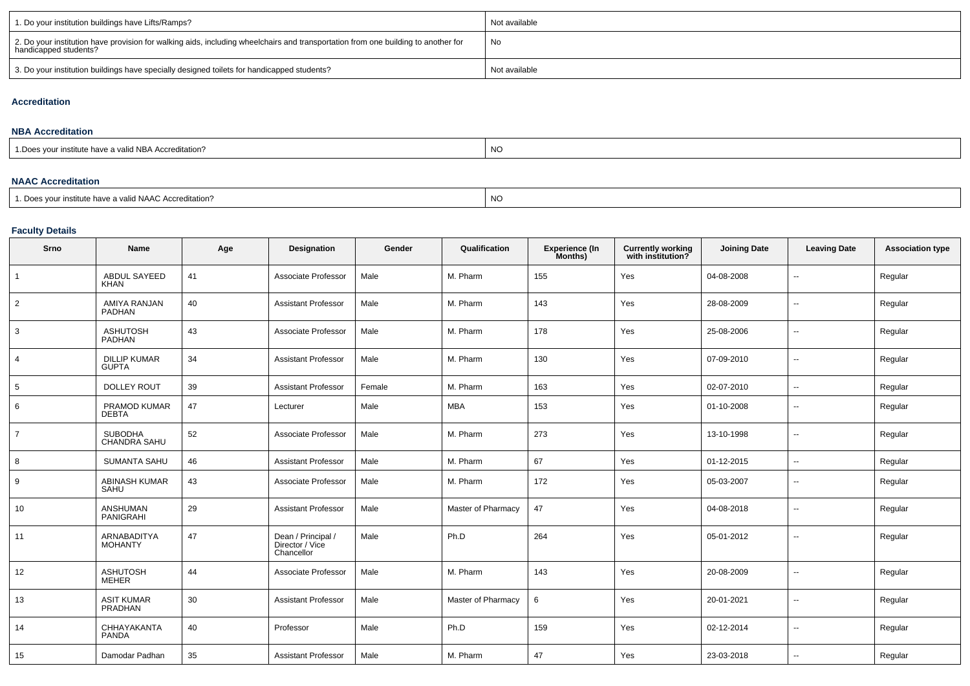| 1. Do your institution buildings have Lifts/Ramps?                                                                                                         | Not available |
|------------------------------------------------------------------------------------------------------------------------------------------------------------|---------------|
| 2. Do your institution have provision for walking aids, including wheelchairs and transportation from one building to another for<br>handicapped students? | No            |
| 3. Do your institution buildings have specially designed toilets for handicapped students?                                                                 | Not available |

### **Accreditation**

#### **NBA Accreditation**

| creditation: | <b>NIC</b> |  |  |  |  |
|--------------|------------|--|--|--|--|
|              |            |  |  |  |  |

### **NAAC Accreditation**

| 1. Does your institute have a valid NAAC Accreditation? | NO. |
|---------------------------------------------------------|-----|
|---------------------------------------------------------|-----|

### **Faculty Details**

| Srno           | Name                                | Age | Designation                                         | Gender | Qualification      | <b>Experience (In</b><br>Months) | <b>Currently working</b><br>with institution? | <b>Joining Date</b> | <b>Leaving Date</b>      | <b>Association type</b> |
|----------------|-------------------------------------|-----|-----------------------------------------------------|--------|--------------------|----------------------------------|-----------------------------------------------|---------------------|--------------------------|-------------------------|
|                | <b>ABDUL SAYEED</b><br><b>KHAN</b>  | 41  | Associate Professor                                 | Male   | M. Pharm           | 155                              | Yes                                           | 04-08-2008          | $\overline{\phantom{a}}$ | Regular                 |
| $\overline{2}$ | AMIYA RANJAN<br><b>PADHAN</b>       | 40  | <b>Assistant Professor</b>                          | Male   | M. Pharm           | 143                              | Yes                                           | 28-08-2009          | $\overline{\phantom{a}}$ | Regular                 |
| 3              | <b>ASHUTOSH</b><br>PADHAN           | 43  | Associate Professor                                 | Male   | M. Pharm           | 178                              | Yes                                           | 25-08-2006          | ÷.                       | Regular                 |
| $\overline{4}$ | <b>DILLIP KUMAR</b><br><b>GUPTA</b> | 34  | <b>Assistant Professor</b>                          | Male   | M. Pharm           | 130                              | Yes                                           | 07-09-2010          | $\sim$                   | Regular                 |
| 5              | <b>DOLLEY ROUT</b>                  | 39  | <b>Assistant Professor</b>                          | Female | M. Pharm           | 163                              | Yes                                           | 02-07-2010          | $\overline{\phantom{a}}$ | Regular                 |
| 6              | PRAMOD KUMAR<br><b>DEBTA</b>        | 47  | Lecturer                                            | Male   | <b>MBA</b>         | 153                              | Yes                                           | 01-10-2008          | $\overline{\phantom{a}}$ | Regular                 |
| $\overline{7}$ | <b>SUBODHA</b><br>CHANDRA SAHU      | 52  | Associate Professor                                 | Male   | M. Pharm           | 273                              | Yes                                           | 13-10-1998          | н.                       | Regular                 |
| 8              | <b>SUMANTA SAHU</b>                 | 46  | <b>Assistant Professor</b>                          | Male   | M. Pharm           | 67                               | Yes                                           | 01-12-2015          | $\sim$                   | Regular                 |
| 9              | <b>ABINASH KUMAR</b><br>SAHU        | 43  | Associate Professor                                 | Male   | M. Pharm           | 172                              | Yes                                           | 05-03-2007          | $\sim$                   | Regular                 |
| 10             | <b>ANSHUMAN</b><br>PANIGRAHI        | 29  | <b>Assistant Professor</b>                          | Male   | Master of Pharmacy | 47                               | Yes                                           | 04-08-2018          | $\overline{a}$           | Regular                 |
| 11             | ARNABADITYA<br><b>MOHANTY</b>       | 47  | Dean / Principal /<br>Director / Vice<br>Chancellor | Male   | Ph.D               | 264                              | Yes                                           | 05-01-2012          | $\overline{\phantom{a}}$ | Regular                 |
| 12             | <b>ASHUTOSH</b><br><b>MEHER</b>     | 44  | Associate Professor                                 | Male   | M. Pharm           | 143                              | Yes                                           | 20-08-2009          | $\ddot{\phantom{a}}$     | Regular                 |
| 13             | <b>ASIT KUMAR</b><br>PRADHAN        | 30  | <b>Assistant Professor</b>                          | Male   | Master of Pharmacy | 6                                | Yes                                           | 20-01-2021          | $\overline{\phantom{a}}$ | Regular                 |
| 14             | CHHAYAKANTA<br><b>PANDA</b>         | 40  | Professor                                           | Male   | Ph.D               | 159                              | Yes                                           | 02-12-2014          | $\overline{\phantom{a}}$ | Regular                 |
| 15             | Damodar Padhan                      | 35  | <b>Assistant Professor</b>                          | Male   | M. Pharm           | 47                               | Yes                                           | 23-03-2018          |                          | Regular                 |